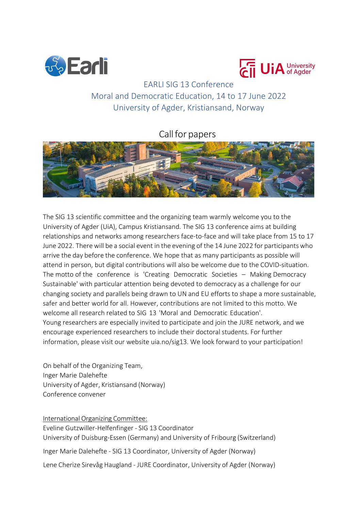



# EARLI SIG 13 Conference Moral and Democratic Education, 14 to 17 June 2022 University of Agder, Kristiansand, Norway

# Call for papers



The SIG 13 scientific committee and the organizing team warmly welcome you to the University of Agder (UiA), Campus Kristiansand. The SIG 13 conference aims at building relationships and networks among researchers face-to-face and will take place from 15 to 17 June 2022. There will be a social event in the evening of the 14 June 2022 for participants who arrive the day before the conference. We hope that as many participants as possible will attend in person, but digital contributions will also be welcome due to the COVID-situation. The motto of the conference is 'Creating Democratic Societies – Making Democracy Sustainable' with particular attention being devoted to democracy as a challenge for our changing society and parallels being drawn to UN and EU efforts to shape a more sustainable, safer and better world for all. However, contributions are not limited to this motto. We welcome all research related to SIG 13 'Moral and Democratic Education'. Young researchers are especially invited to participate and join the JURE network, and we encourage experienced researchers to include their doctoral students. For further information, please visit our website uia.no/sig13. We look forward to your participation!

On behalf of the Organizing Team, Inger Marie Dalehefte University of Agder, Kristiansand (Norway) Conference convener

International Organizing Committee: Eveline Gutzwiller-Helfenfinger - SIG 13 Coordinator University of Duisburg-Essen (Germany) and University of Fribourg (Switzerland) Inger Marie Dalehefte - SIG 13 Coordinator, University of Agder (Norway)

Lene Cherize Sirevåg Haugland - JURE Coordinator, University of Agder (Norway)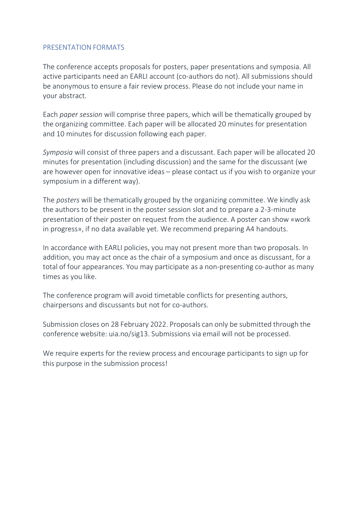#### PRESENTATION FORMATS

The conference accepts proposals for posters, paper presentations and symposia. All active participants need an EARLI account (co-authors do not). All submissions should be anonymous to ensure a fair review process. Please do not include your name in your abstract.

Each *paper session* will comprise three papers, which will be thematically grouped by the organizing committee. Each paper will be allocated 20 minutes for presentation and 10 minutes for discussion following each paper.

*Symposia* will consist of three papers and a discussant. Each paper will be allocated 20 minutes for presentation (including discussion) and the same for the discussant (we are however open for innovative ideas – please contact us if you wish to organize your symposium in a different way).

The *posters* will be thematically grouped by the organizing committee. We kindly ask the authors to be present in the poster session slot and to prepare a 2-3-minute presentation of their poster on request from the audience. A poster can show «work in progress», if no data available yet. We recommend preparing A4 handouts.

In accordance with EARLI policies, you may not present more than two proposals. In addition, you may act once as the chair of a symposium and once as discussant, for a total of four appearances. You may participate as a non-presenting co-author as many times as you like.

The conference program will avoid timetable conflicts for presenting authors, chairpersons and discussants but not for co-authors.

Submission closes on 28 February 2022. Proposals can only be submitted through the conference website: uia.no/sig13. Submissions via email will not be processed.

We require experts for the review process and encourage participants to sign up for this purpose in the submission process!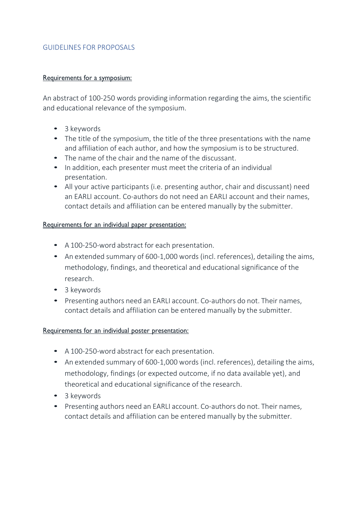### GUIDELINES FOR PROPOSALS

#### Requirements for a symposium:

An abstract of 100-250 words providing information regarding the aims, the scientific and educational relevance of the symposium.

- 3 keywords
- The title of the symposium, the title of the three presentations with the name and affiliation of each author, and how the symposium is to be structured.
- The name of the chair and the name of the discussant.
- In addition, each presenter must meet the criteria of an individual presentation.
- All your active participants (i.e. presenting author, chair and discussant) need an EARLI account. Co-authors do not need an EARLI account and their names, contact details and affiliation can be entered manually by the submitter.

## Requirements for an individual paper presentation:

- A 100-250-word abstract for each presentation.
- An extended summary of 600-1,000 words (incl. references), detailing the aims, methodology, findings, and theoretical and educational significance of the research.
- 3 keywords
- Presenting authors need an EARLI account. Co-authors do not. Their names, contact details and affiliation can be entered manually by the submitter.

#### Requirements for an individual poster presentation:

- A 100-250-word abstract for each presentation.
- An extended summary of 600-1,000 words (incl. references), detailing the aims, methodology, findings (or expected outcome, if no data available yet), and theoretical and educational significance of the research.
- 3 keywords
- Presenting authors need an EARLI account. Co-authors do not. Their names, contact details and affiliation can be entered manually by the submitter.